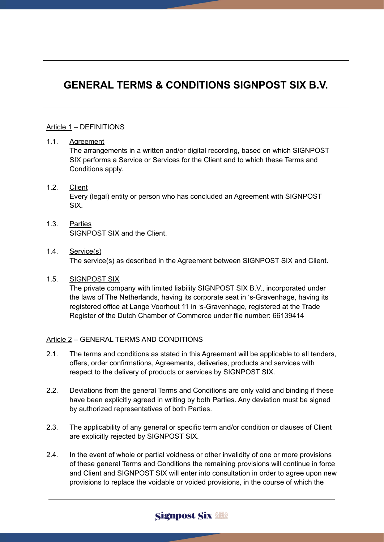# **GENERAL TERMS & CONDITIONS SIGNPOST SIX B.V.**

#### Article 1 – DEFINITIONS

#### 1.1. Agreement

The arrangements in a written and/or digital recording, based on which SIGNPOST SIX performs a Service or Services for the Client and to which these Terms and Conditions apply.

### 1.2. Client Every (legal) entity or person who has concluded an Agreement with SIGNPOST SIX.

1.3. Parties SIGNPOST SIX and the Client.

#### 1.4. Service(s) The service(s) as described in the Agreement between SIGNPOST SIX and Client.

1.5. SIGNPOST SIX

The private company with limited liability SIGNPOST SIX B.V., incorporated under the laws of The Netherlands, having its corporate seat in 's-Gravenhage, having its registered office at Lange Voorhout 11 in 's-Gravenhage, registered at the Trade Register of the Dutch Chamber of Commerce under file number: 66139414

#### Article 2 – GENERAL TERMS AND CONDITIONS

- 2.1. The terms and conditions as stated in this Agreement will be applicable to all tenders, offers, order confirmations, Agreements, deliveries, products and services with respect to the delivery of products or services by SIGNPOST SIX.
- 2.2. Deviations from the general Terms and Conditions are only valid and binding if these have been explicitly agreed in writing by both Parties. Any deviation must be signed by authorized representatives of both Parties.
- 2.3. The applicability of any general or specific term and/or condition or clauses of Client are explicitly rejected by SIGNPOST SIX.
- 2.4. In the event of whole or partial voidness or other invalidity of one or more provisions of these general Terms and Conditions the remaining provisions will continue in force and Client and SIGNPOST SIX will enter into consultation in order to agree upon new provisions to replace the voidable or voided provisions, in the course of which the

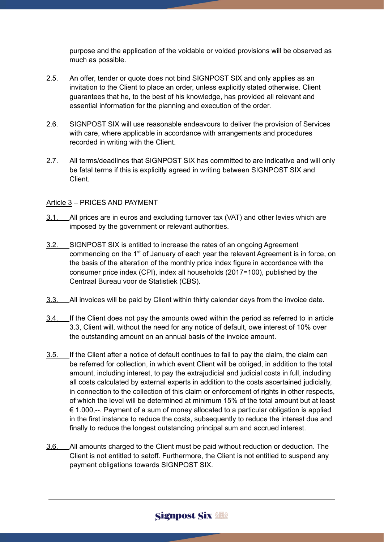purpose and the application of the voidable or voided provisions will be observed as much as possible.

- 2.5. An offer, tender or quote does not bind SIGNPOST SIX and only applies as an invitation to the Client to place an order, unless explicitly stated otherwise. Client guarantees that he, to the best of his knowledge, has provided all relevant and essential information for the planning and execution of the order.
- 2.6. SIGNPOST SIX will use reasonable endeavours to deliver the provision of Services with care, where applicable in accordance with arrangements and procedures recorded in writing with the Client.
- 2.7. All terms/deadlines that SIGNPOST SIX has committed to are indicative and will only be fatal terms if this is explicitly agreed in writing between SIGNPOST SIX and Client.

#### Article 3 – PRICES AND PAYMENT

- 3.1. All prices are in euros and excluding turnover tax (VAT) and other levies which are imposed by the government or relevant authorities.
- 3.2. SIGNPOST SIX is entitled to increase the rates of an ongoing Agreement commencing on the 1<sup>st</sup> of January of each year the relevant Agreement is in force, on the basis of the alteration of the monthly price index figure in accordance with the consumer price index (CPI), index all households (2017=100), published by the Centraal Bureau voor de Statistiek (CBS).
- 3.3. All invoices will be paid by Client within thirty calendar days from the invoice date.
- 3.4. If the Client does not pay the amounts owed within the period as referred to in article 3.3, Client will, without the need for any notice of default, owe interest of 10% over the outstanding amount on an annual basis of the invoice amount.
- 3.5. If the Client after a notice of default continues to fail to pay the claim, the claim can be referred for collection, in which event Client will be obliged, in addition to the total amount, including interest, to pay the extrajudicial and judicial costs in full, including all costs calculated by external experts in addition to the costs ascertained judicially, in connection to the collection of this claim or enforcement of rights in other respects, of which the level will be determined at minimum 15% of the total amount but at least  $\epsilon$  1.000,--. Payment of a sum of money allocated to a particular obligation is applied in the first instance to reduce the costs, subsequently to reduce the interest due and finally to reduce the longest outstanding principal sum and accrued interest.
- 3.6. All amounts charged to the Client must be paid without reduction or deduction. The Client is not entitled to setoff. Furthermore, the Client is not entitled to suspend any payment obligations towards SIGNPOST SIX.

## **Signpost Six & &**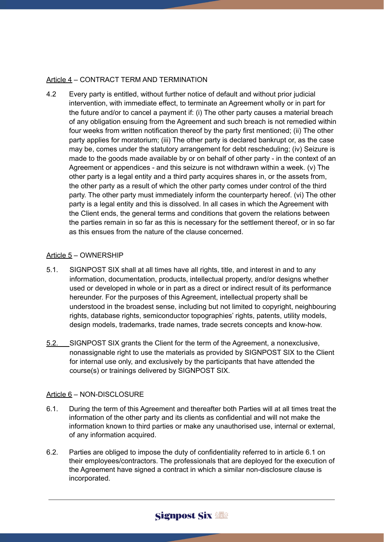#### Article 4 – CONTRACT TERM AND TERMINATION

4.2 Every party is entitled, without further notice of default and without prior judicial intervention, with immediate effect, to terminate an Agreement wholly or in part for the future and/or to cancel a payment if: (i) The other party causes a material breach of any obligation ensuing from the Agreement and such breach is not remedied within four weeks from written notification thereof by the party first mentioned; (ii) The other party applies for moratorium; (iii) The other party is declared bankrupt or, as the case may be, comes under the statutory arrangement for debt rescheduling; (iv) Seizure is made to the goods made available by or on behalf of other party - in the context of an Agreement or appendices - and this seizure is not withdrawn within a week. (v) The other party is a legal entity and a third party acquires shares in, or the assets from, the other party as a result of which the other party comes under control of the third party. The other party must immediately inform the counterparty hereof. (vi) The other party is a legal entity and this is dissolved. In all cases in which the Agreement with the Client ends, the general terms and conditions that govern the relations between the parties remain in so far as this is necessary for the settlement thereof, or in so far as this ensues from the nature of the clause concerned.

#### Article 5 – OWNERSHIP

- 5.1. SIGNPOST SIX shall at all times have all rights, title, and interest in and to any information, documentation, products, intellectual property, and/or designs whether used or developed in whole or in part as a direct or indirect result of its performance hereunder. For the purposes of this Agreement, intellectual property shall be understood in the broadest sense, including but not limited to copyright, neighbouring rights, database rights, semiconductor topographies' rights, patents, utility models, design models, trademarks, trade names, trade secrets concepts and know-how.
- 5.2. SIGNPOST SIX grants the Client for the term of the Agreement, a nonexclusive, nonassignable right to use the materials as provided by SIGNPOST SIX to the Client for internal use only, and exclusively by the participants that have attended the course(s) or trainings delivered by SIGNPOST SIX.

#### Article 6 – NON-DISCLOSURE

- 6.1. During the term of this Agreement and thereafter both Parties will at all times treat the information of the other party and its clients as confidential and will not make the information known to third parties or make any unauthorised use, internal or external, of any information acquired.
- 6.2. Parties are obliged to impose the duty of confidentiality referred to in article 6.1 on their employees/contractors. The professionals that are deployed for the execution of the Agreement have signed a contract in which a similar non-disclosure clause is incorporated.

## Signpost Six